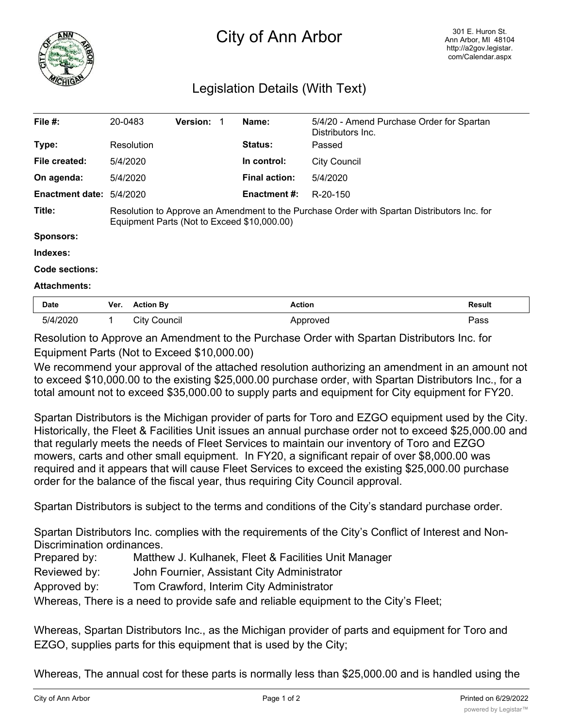

## City of Ann Arbor

## Legislation Details (With Text)

| File $#$ :               | 20-0483                                                                                                                                    |                     | <b>Version:</b> | -1 | Name:                | 5/4/20 - Amend Purchase Order for Spartan<br>Distributors Inc. |               |
|--------------------------|--------------------------------------------------------------------------------------------------------------------------------------------|---------------------|-----------------|----|----------------------|----------------------------------------------------------------|---------------|
| Type:                    |                                                                                                                                            | Resolution          |                 |    | <b>Status:</b>       | Passed                                                         |               |
| File created:            | 5/4/2020                                                                                                                                   |                     |                 |    | In control:          | <b>City Council</b>                                            |               |
| On agenda:               | 5/4/2020                                                                                                                                   |                     |                 |    | <b>Final action:</b> | 5/4/2020                                                       |               |
| Enactment date: 5/4/2020 |                                                                                                                                            |                     |                 |    | Enactment #:         | R-20-150                                                       |               |
| Title:                   | Resolution to Approve an Amendment to the Purchase Order with Spartan Distributors Inc. for<br>Equipment Parts (Not to Exceed \$10,000.00) |                     |                 |    |                      |                                                                |               |
| <b>Sponsors:</b>         |                                                                                                                                            |                     |                 |    |                      |                                                                |               |
| Indexes:                 |                                                                                                                                            |                     |                 |    |                      |                                                                |               |
| Code sections:           |                                                                                                                                            |                     |                 |    |                      |                                                                |               |
| <b>Attachments:</b>      |                                                                                                                                            |                     |                 |    |                      |                                                                |               |
| Date                     | Ver.                                                                                                                                       | <b>Action By</b>    |                 |    |                      | <b>Action</b>                                                  | <b>Result</b> |
| 5/4/2020                 | 1                                                                                                                                          | <b>City Council</b> |                 |    |                      | Approved                                                       | Pass          |

Resolution to Approve an Amendment to the Purchase Order with Spartan Distributors Inc. for Equipment Parts (Not to Exceed \$10,000.00)

We recommend your approval of the attached resolution authorizing an amendment in an amount not to exceed \$10,000.00 to the existing \$25,000.00 purchase order, with Spartan Distributors Inc., for a total amount not to exceed \$35,000.00 to supply parts and equipment for City equipment for FY20.

Spartan Distributors is the Michigan provider of parts for Toro and EZGO equipment used by the City. Historically, the Fleet & Facilities Unit issues an annual purchase order not to exceed \$25,000.00 and that regularly meets the needs of Fleet Services to maintain our inventory of Toro and EZGO mowers, carts and other small equipment. In FY20, a significant repair of over \$8,000.00 was required and it appears that will cause Fleet Services to exceed the existing \$25,000.00 purchase order for the balance of the fiscal year, thus requiring City Council approval.

Spartan Distributors is subject to the terms and conditions of the City's standard purchase order.

Spartan Distributors Inc. complies with the requirements of the City's Conflict of Interest and Non-Discrimination ordinances.

- Prepared by: Matthew J. Kulhanek, Fleet & Facilities Unit Manager
- Reviewed by: John Fournier, Assistant City Administrator
- Approved by: Tom Crawford, Interim City Administrator

Whereas, There is a need to provide safe and reliable equipment to the City's Fleet;

Whereas, Spartan Distributors Inc., as the Michigan provider of parts and equipment for Toro and EZGO, supplies parts for this equipment that is used by the City;

Whereas, The annual cost for these parts is normally less than \$25,000.00 and is handled using the